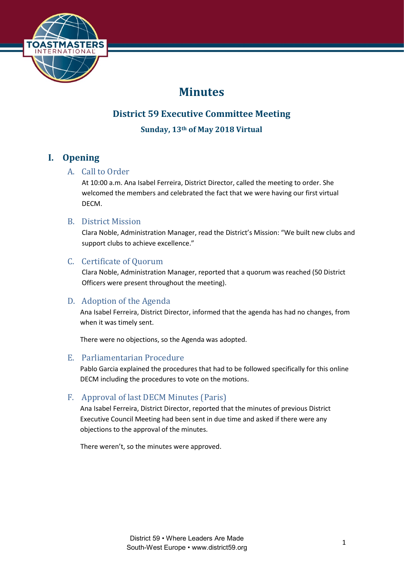

# **Minutes**

## **District 59 Executive Committee Meeting**

**Sunday, 13th of May 2018 Virtual**

## **I. Opening**

### A. Call to Order

At 10:00 a.m. Ana Isabel Ferreira, District Director, called the meeting to order. She welcomed the members and celebrated the fact that we were having our first virtual DECM.

### B. District Mission

Clara Noble, Administration Manager, read the District's Mission: "We built new clubs and support clubs to achieve excellence."

### C. Certificate of Quorum

Clara Noble, Administration Manager, reported that a quorum was reached (50 District Officers were present throughout the meeting).

### D. Adoption of the Agenda

Ana Isabel Ferreira, District Director, informed that the agenda has had no changes, from when it was timely sent.

There were no objections, so the Agenda was adopted.

### E. Parliamentarian Procedure

Pablo Garcia explained the procedures that had to be followed specifically for this online DECM including the procedures to vote on the motions.

### F. Approval of last DECM Minutes (Paris)

Ana Isabel Ferreira, District Director, reported that the minutes of previous District Executive Council Meeting had been sent in due time and asked if there were any objections to the approval of the minutes.

There weren't, so the minutes were approved.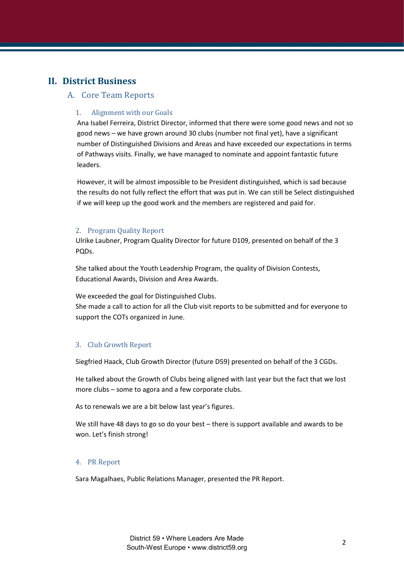## **II. District Business**

#### A. Core Team Reports

#### 1. Alignment with our Goals

Ana Isabel Ferreira, District Director, informed that there were some good news and not so good news – we have grown around 30 clubs (number not final yet), have a significant number of Distinguished Divisions and Areas and have exceeded our expectations in terms of Pathways visits. Finally, we have managed to nominate and appoint fantastic future leaders.

However, it will be almost impossible to be President distinguished, which is sad because the results do not fully reflect the effort that was put in. We can still be Select distinguished if we will keep up the good work and the members are registered and paid for.

#### 2. Program Quality Report

Ulrike Laubner, Program Quality Director for future D109, presented on behalf of the 3 PQDs.

She talked about the Youth Leadership Program, the quality of Division Contests, Educational Awards, Division and Area Awards.

We exceeded the goal for Distinguished Clubs.

She made a call to action for all the Club visit reports to be submitted and for everyone to support the COTs organized in June.

#### 3. Club Growth Report

Siegfried Haack, Club Growth Director (future D59) presented on behalf of the 3 CGDs.

He talked about the Growth of Clubs being aligned with last year but the fact that we lost more clubs – some to agora and a few corporate clubs.

As to renewals we are a bit below last year's figures.

We still have 48 days to go so do your best – there is support available and awards to be won. Let's finish strong!

#### 4. PR Report

Sara Magalhaes, Public Relations Manager, presented the PR Report.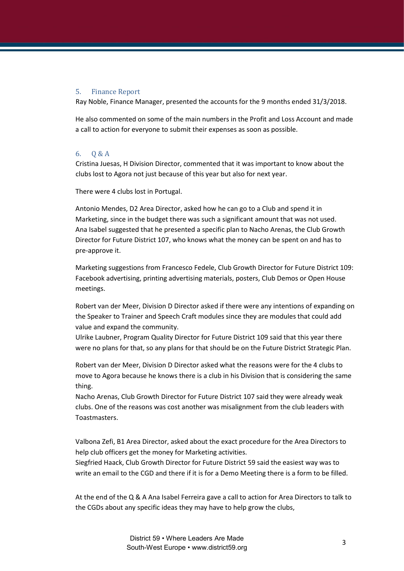#### 5. Finance Report

Ray Noble, Finance Manager, presented the accounts for the 9 months ended 31/3/2018.

He also commented on some of the main numbers in the Profit and Loss Account and made a call to action for everyone to submit their expenses as soon as possible.

#### 6. Q & A

Cristina Juesas, H Division Director, commented that it was important to know about the clubs lost to Agora not just because of this year but also for next year.

There were 4 clubs lost in Portugal.

Antonio Mendes, D2 Area Director, asked how he can go to a Club and spend it in Marketing, since in the budget there was such a significant amount that was not used. Ana Isabel suggested that he presented a specific plan to Nacho Arenas, the Club Growth Director for Future District 107, who knows what the money can be spent on and has to pre-approve it.

Marketing suggestions from Francesco Fedele, Club Growth Director for Future District 109: Facebook advertising, printing advertising materials, posters, Club Demos or Open House meetings.

Robert van der Meer, Division D Director asked if there were any intentions of expanding on the Speaker to Trainer and Speech Craft modules since they are modules that could add value and expand the community.

Ulrike Laubner, Program Quality Director for Future District 109 said that this year there were no plans for that, so any plans for that should be on the Future District Strategic Plan.

Robert van der Meer, Division D Director asked what the reasons were for the 4 clubs to move to Agora because he knows there is a club in his Division that is considering the same thing.

Nacho Arenas, Club Growth Director for Future District 107 said they were already weak clubs. One of the reasons was cost another was misalignment from the club leaders with Toastmasters.

Valbona Zefi, B1 Area Director, asked about the exact procedure for the Area Directors to help club officers get the money for Marketing activities.

Siegfried Haack, Club Growth Director for Future District 59 said the easiest way was to write an email to the CGD and there if it is for a Demo Meeting there is a form to be filled.

At the end of the Q & A Ana Isabel Ferreira gave a call to action for Area Directors to talk to the CGDs about any specific ideas they may have to help grow the clubs,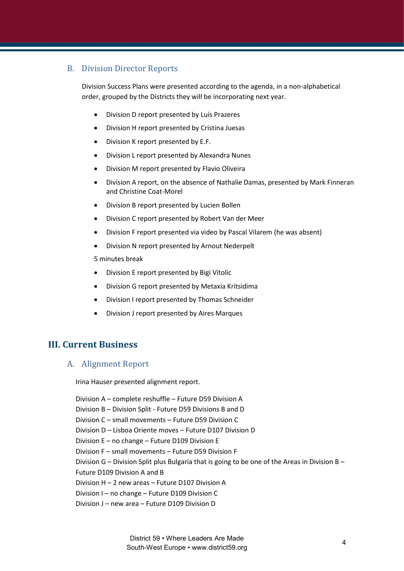### B. Division Director Reports

Division Success Plans were presented according to the agenda, in a non-alphabetical order, grouped by the Districts they will be incorporating next year.

- Division D report presented by Luís Prazeres
- Division H report presented by Cristina Juesas
- Division K report presented by E.F.
- Division L report presented by Alexandra Nunes
- Division M report presented by Flavio Oliveira
- Division A report, on the absence of Nathalie Damas, presented by Mark Finneran and Christine Coat-Morel
- Division B report presented by Lucien Bollen
- Division C report presented by Robert Van der Meer
- Division F report presented via video by Pascal Vilarem (he was absent)
- Division N report presented by Arnout Nederpelt

5 minutes break

- Division E report presented by Bigi Vitolic
- Division G report presented by Metaxia Kritsidima
- Division I report presented by Thomas Schneider
- Division J report presented by Aires Marques

### **III. Current Business**

#### A. Alignment Report

Irina Hauser presented alignment report.

Division A – complete reshuffle – Future D59 Division A Division B – Division Split - Future D59 Divisions B and D Division C – small movements – Future D59 Division C Division D – Lisboa Oriente moves – Future D107 Division D Division E – no change – Future D109 Division E Division F – small movements – Future D59 Division F Division G – Division Split plus Bulgaria that is going to be one of the Areas in Division B – Future D109 Division A and B Division H – 2 new areas – Future D107 Division A Division I – no change – Future D109 Division C Division J – new area – Future D109 Division D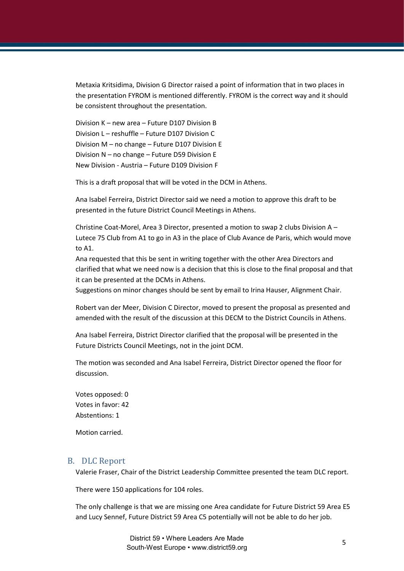Metaxia Kritsidima, Division G Director raised a point of information that in two places in the presentation FYROM is mentioned differently. FYROM is the correct way and it should be consistent throughout the presentation.

Division K – new area – Future D107 Division B Division L – reshuffle – Future D107 Division C Division M – no change – Future D107 Division E Division N – no change – Future D59 Division E New Division - Austria – Future D109 Division F

This is a draft proposal that will be voted in the DCM in Athens.

Ana Isabel Ferreira, District Director said we need a motion to approve this draft to be presented in the future District Council Meetings in Athens.

Christine Coat-Morel, Area 3 Director, presented a motion to swap 2 clubs Division A – Lutece 75 Club from A1 to go in A3 in the place of Club Avance de Paris, which would move to A1.

Ana requested that this be sent in writing together with the other Area Directors and clarified that what we need now is a decision that this is close to the final proposal and that it can be presented at the DCMs in Athens.

Suggestions on minor changes should be sent by email to Irina Hauser, Alignment Chair.

Robert van der Meer, Division C Director, moved to present the proposal as presented and amended with the result of the discussion at this DECM to the District Councils in Athens.

Ana Isabel Ferreira, District Director clarified that the proposal will be presented in the Future Districts Council Meetings, not in the joint DCM.

The motion was seconded and Ana Isabel Ferreira, District Director opened the floor for discussion.

Votes opposed: 0 Votes in favor: 42 Abstentions: 1

Motion carried.

#### B. DLC Report

Valerie Fraser, Chair of the District Leadership Committee presented the team DLC report.

There were 150 applications for 104 roles.

The only challenge is that we are missing one Area candidate for Future District 59 Area E5 and Lucy Sennef, Future District 59 Area C5 potentially will not be able to do her job.

> District 59 • Where Leaders Are Made South-West Europe • www.district59.org <sup>5</sup>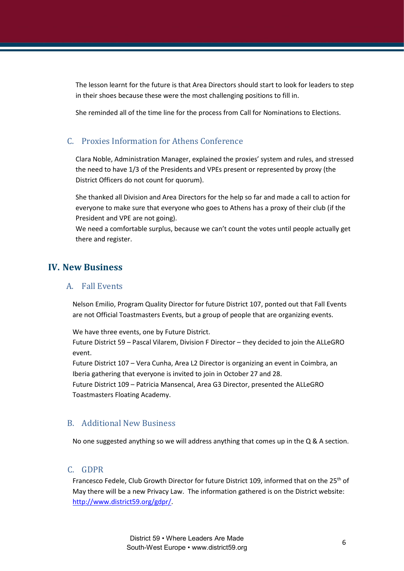The lesson learnt for the future is that Area Directors should start to look for leaders to step in their shoes because these were the most challenging positions to fill in.

She reminded all of the time line for the process from Call for Nominations to Elections.

### C. Proxies Information for Athens Conference

Clara Noble, Administration Manager, explained the proxies' system and rules, and stressed the need to have 1/3 of the Presidents and VPEs present or represented by proxy (the District Officers do not count for quorum).

She thanked all Division and Area Directors for the help so far and made a call to action for everyone to make sure that everyone who goes to Athens has a proxy of their club (if the President and VPE are not going).

We need a comfortable surplus, because we can't count the votes until people actually get there and register.

### **IV. New Business**

#### A. Fall Events

Nelson Emilio, Program Quality Director for future District 107, ponted out that Fall Events are not Official Toastmasters Events, but a group of people that are organizing events.

We have three events, one by Future District.

Future District 59 – Pascal Vilarem, Division F Director – they decided to join the ALLeGRO event.

Future District 107 – Vera Cunha, Area L2 Director is organizing an event in Coimbra, an Iberia gathering that everyone is invited to join in October 27 and 28.

Future District 109 – Patricia Mansencal, Area G3 Director, presented the ALLeGRO Toastmasters Floating Academy.

### B. Additional New Business

No one suggested anything so we will address anything that comes up in the  $Q & A$  section.

#### C. GDPR

Francesco Fedele, Club Growth Director for future District 109, informed that on the 25<sup>th</sup> of May there will be a new Privacy Law. The information gathered is on the District website: [http://www.district59.org/gdpr/.](http://www.district59.org/gdpr/)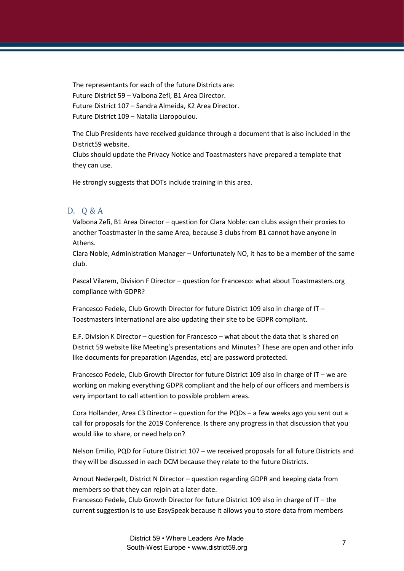The representants for each of the future Districts are: Future District 59 – Valbona Zefi, B1 Area Director. Future District 107 – Sandra Almeida, K2 Area Director. Future District 109 – Natalia Liaropoulou.

The Club Presidents have received guidance through a document that is also included in the District59 website.

Clubs should update the Privacy Notice and Toastmasters have prepared a template that they can use.

He strongly suggests that DOTs include training in this area.

#### D. Q & A

Valbona Zefi, B1 Area Director – question for Clara Noble: can clubs assign their proxies to another Toastmaster in the same Area, because 3 clubs from B1 cannot have anyone in Athens.

Clara Noble, Administration Manager – Unfortunately NO, it has to be a member of the same club.

Pascal Vilarem, Division F Director – question for Francesco: what about Toastmasters.org compliance with GDPR?

Francesco Fedele, Club Growth Director for future District 109 also in charge of IT – Toastmasters International are also updating their site to be GDPR compliant.

E.F. Division K Director – question for Francesco – what about the data that is shared on District 59 website like Meeting's presentations and Minutes? These are open and other info like documents for preparation (Agendas, etc) are password protected.

Francesco Fedele, Club Growth Director for future District 109 also in charge of IT – we are working on making everything GDPR compliant and the help of our officers and members is very important to call attention to possible problem areas.

Cora Hollander, Area C3 Director – question for the PQDs – a few weeks ago you sent out a call for proposals for the 2019 Conference. Is there any progress in that discussion that you would like to share, or need help on?

Nelson Emilio, PQD for Future District 107 – we received proposals for all future Districts and they will be discussed in each DCM because they relate to the future Districts.

Arnout Nederpelt, District N Director – question regarding GDPR and keeping data from members so that they can rejoin at a later date.

Francesco Fedele, Club Growth Director for future District 109 also in charge of IT – the current suggestion is to use EasySpeak because it allows you to store data from members